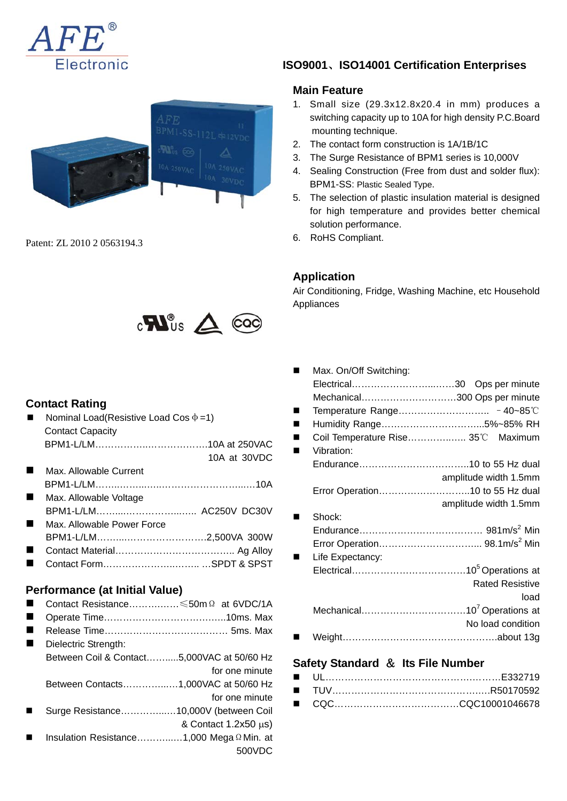



Patent: ZL 2010 2 0563194.3



### **Contact Rating**

- Nominal Load(Resistive Load Cos  $\Phi = 1$ ) Contact Capacity BPM1-L/LM……………..……………….10A at 250VAC 10A at 30VDC
- Max. Allowable Current BPM1-L/LM……..……...…..……………………...…10A Max. Allowable Voltage
- BPM1-L/LM……....……………...….. AC250V DC30V
- Max. Allowable Power Force BPM1-L/LM……....…………………….2,500VA 300W
- Contact Material……………………………….. Ag Alloy
- Contact Form…………………..…….. …SPDT & SPST

## **Performance (at Initial Value)**

- Contact Resistance……….……≤50mΩ at 6VDC/1A
- Operate Time………………………………………………10ms. Max
- Release Time………………………………… 5ms. Max
- Dielectric Strength: Between Coil & Contact…….....5,000VAC at 50/60 Hz for one minute Between Contacts…………...…1,000VAC at 50/60 Hz for one minute Surge Resistance…………...…10,000V (between Coil & Contact 1.2x50 μs)
- Insulation Resistance………...…1,000 MegaΩMin. at 500VDC

# **ISO9001**、**ISO14001 Certification Enterprises**

#### **Main Feature**

- 1. Small size (29.3x12.8x20.4 in mm) produces a switching capacity up to 10A for high density P.C.Board mounting technique.
- 2. The contact form construction is 1A/1B/1C
- 3. The Surge Resistance of BPM1 series is 10,000V
- 4. Sealing Construction (Free from dust and solder flux): BPM1-SS: Plastic Sealed Type.
- 5. The selection of plastic insulation material is designed for high temperature and provides better chemical solution performance.
- 6. RoHS Compliant.

### **Application**

Air Conditioning, Fridge, Washing Machine, etc Household Appliances

| Mechanical300 Ops per minute       |
|------------------------------------|
|                                    |
| Humidity Range5%~85% RH            |
| Coil Temperature Rise 35°C Maximum |
|                                    |
|                                    |
| amplitude width 1.5mm              |
| Error Operation10 to 55 Hz dual    |
| amplitude width 1.5mm              |
|                                    |
|                                    |
|                                    |
|                                    |
|                                    |
| <b>Rated Resistive</b>             |
| load                               |
|                                    |
| No load condition                  |
|                                    |
|                                    |

### **Safety Standard** & **Its File Number**